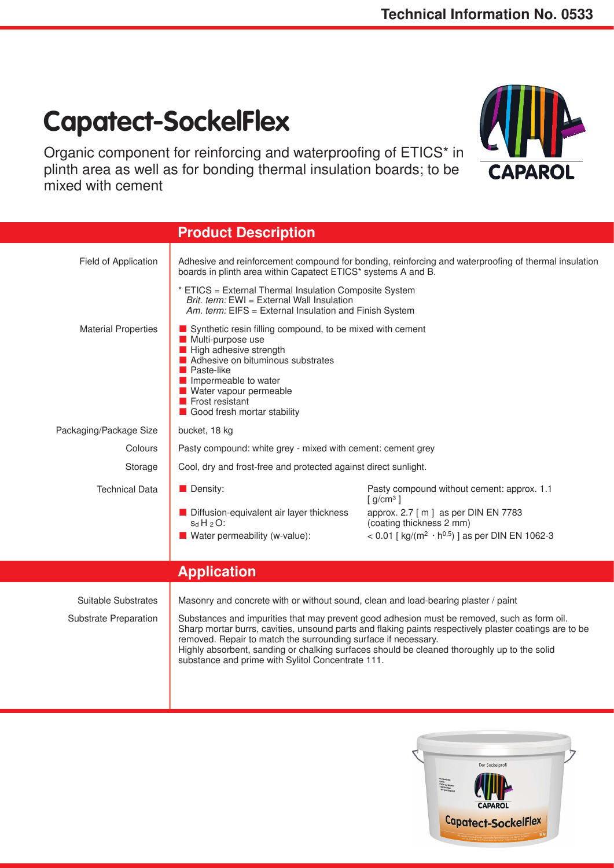## **Capatect-SockelFlex**

Organic component for reinforcing and waterproofing of ETICS\* in plinth area as well as for bonding thermal insulation boards; to be mixed with cement



|                                                     | <b>Product Description</b>                                                                                                                                                                                                                                                                                                                                                                                                                                                                                        |                                                                                                                                                                                                                       |
|-----------------------------------------------------|-------------------------------------------------------------------------------------------------------------------------------------------------------------------------------------------------------------------------------------------------------------------------------------------------------------------------------------------------------------------------------------------------------------------------------------------------------------------------------------------------------------------|-----------------------------------------------------------------------------------------------------------------------------------------------------------------------------------------------------------------------|
| Field of Application                                | Adhesive and reinforcement compound for bonding, reinforcing and waterproofing of thermal insulation<br>boards in plinth area within Capatect ETICS* systems A and B.                                                                                                                                                                                                                                                                                                                                             |                                                                                                                                                                                                                       |
|                                                     | * ETICS = External Thermal Insulation Composite System<br>Brit. term: EWI = External Wall Insulation<br>Am. term: EIFS = External Insulation and Finish System                                                                                                                                                                                                                                                                                                                                                    |                                                                                                                                                                                                                       |
| <b>Material Properties</b>                          | Synthetic resin filling compound, to be mixed with cement<br>Multi-purpose use<br>High adhesive strength<br>Adhesive on bituminous substrates<br><b>Paste-like</b><br>Impermeable to water<br>Water vapour permeable<br>$\blacksquare$ Frost resistant<br>Good fresh mortar stability                                                                                                                                                                                                                             |                                                                                                                                                                                                                       |
| Packaging/Package Size                              | bucket, 18 kg                                                                                                                                                                                                                                                                                                                                                                                                                                                                                                     |                                                                                                                                                                                                                       |
| Colours                                             | Pasty compound: white grey - mixed with cement: cement grey                                                                                                                                                                                                                                                                                                                                                                                                                                                       |                                                                                                                                                                                                                       |
| Storage                                             | Cool, dry and frost-free and protected against direct sunlight.                                                                                                                                                                                                                                                                                                                                                                                                                                                   |                                                                                                                                                                                                                       |
| <b>Technical Data</b>                               | Density:<br>Diffusion-equivalent air layer thickness<br>$S_dH_2O$ :<br>Water permeability (w-value):                                                                                                                                                                                                                                                                                                                                                                                                              | Pasty compound without cement: approx. 1.1<br>$[$ g/cm <sup>3</sup> $]$<br>approx. 2.7 [ m ] as per DIN EN 7783<br>(coating thickness 2 mm)<br>< 0.01 [ $\text{kg/(m}^2 \cdot \text{h}^{0.5})$ ] as per DIN EN 1062-3 |
|                                                     |                                                                                                                                                                                                                                                                                                                                                                                                                                                                                                                   |                                                                                                                                                                                                                       |
|                                                     | <b>Application</b>                                                                                                                                                                                                                                                                                                                                                                                                                                                                                                |                                                                                                                                                                                                                       |
| Suitable Substrates<br><b>Substrate Preparation</b> | Masonry and concrete with or without sound, clean and load-bearing plaster / paint<br>Substances and impurities that may prevent good adhesion must be removed, such as form oil.<br>Sharp mortar burrs, cavities, unsound parts and flaking paints respectively plaster coatings are to be<br>removed. Repair to match the surrounding surface if necessary.<br>Highly absorbent, sanding or chalking surfaces should be cleaned thoroughly up to the solid<br>substance and prime with Sylitol Concentrate 111. |                                                                                                                                                                                                                       |
|                                                     |                                                                                                                                                                                                                                                                                                                                                                                                                                                                                                                   |                                                                                                                                                                                                                       |

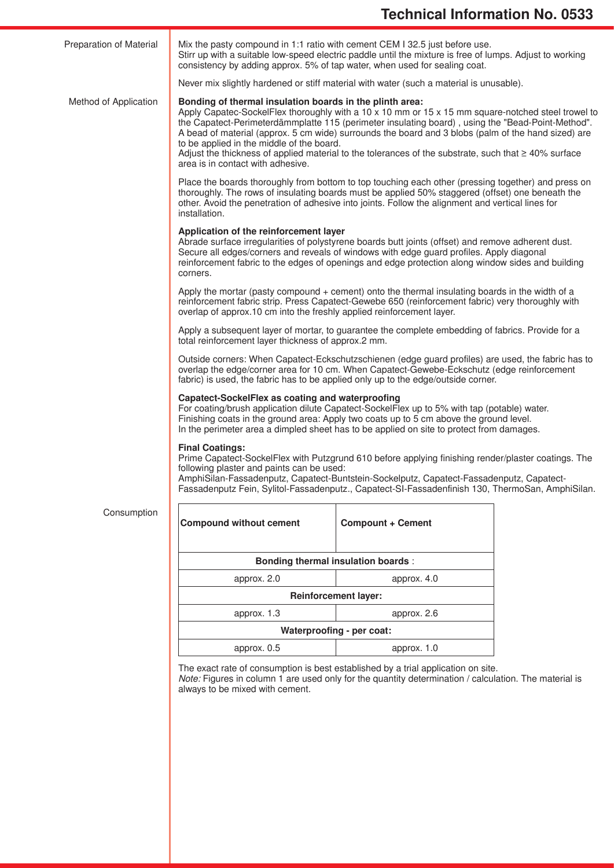| Preparation of Material | Mix the pasty compound in 1:1 ratio with cement CEM I 32.5 just before use.<br>Stirr up with a suitable low-speed electric paddle until the mixture is free of lumps. Adjust to working<br>consistency by adding approx. 5% of tap water, when used for sealing coat.                                                                                                                                                                                                                                                                                                                    |                                                                                                                                                                                                                                                                                                              |  |  |
|-------------------------|------------------------------------------------------------------------------------------------------------------------------------------------------------------------------------------------------------------------------------------------------------------------------------------------------------------------------------------------------------------------------------------------------------------------------------------------------------------------------------------------------------------------------------------------------------------------------------------|--------------------------------------------------------------------------------------------------------------------------------------------------------------------------------------------------------------------------------------------------------------------------------------------------------------|--|--|
|                         |                                                                                                                                                                                                                                                                                                                                                                                                                                                                                                                                                                                          | Never mix slightly hardened or stiff material with water (such a material is unusable).                                                                                                                                                                                                                      |  |  |
| Method of Application   | Bonding of thermal insulation boards in the plinth area:<br>Apply Capatec-SockelFlex thoroughly with a 10 $\times$ 10 mm or 15 $\times$ 15 mm square-notched steel trowel to<br>the Capatect-Perimeterdämmplatte 115 (perimeter insulating board), using the "Bead-Point-Method".<br>A bead of material (approx. 5 cm wide) surrounds the board and 3 blobs (palm of the hand sized) are<br>to be applied in the middle of the board.<br>Adjust the thickness of applied material to the tolerances of the substrate, such that $\geq 40\%$ surface<br>area is in contact with adhesive. |                                                                                                                                                                                                                                                                                                              |  |  |
|                         | installation.                                                                                                                                                                                                                                                                                                                                                                                                                                                                                                                                                                            | Place the boards thoroughly from bottom to top touching each other (pressing together) and press on<br>thoroughly. The rows of insulating boards must be applied 50% staggered (offset) one beneath the<br>other. Avoid the penetration of adhesive into joints. Follow the alignment and vertical lines for |  |  |
|                         | Application of the reinforcement layer<br>Abrade surface irregularities of polystyrene boards butt joints (offset) and remove adherent dust.<br>Secure all edges/corners and reveals of windows with edge guard profiles. Apply diagonal<br>reinforcement fabric to the edges of openings and edge protection along window sides and building<br>corners.                                                                                                                                                                                                                                |                                                                                                                                                                                                                                                                                                              |  |  |
|                         | Apply the mortar (pasty compound + cement) onto the thermal insulating boards in the width of a<br>reinforcement fabric strip. Press Capatect-Gewebe 650 (reinforcement fabric) very thoroughly with<br>overlap of approx.10 cm into the freshly applied reinforcement layer.                                                                                                                                                                                                                                                                                                            |                                                                                                                                                                                                                                                                                                              |  |  |
|                         | Apply a subsequent layer of mortar, to guarantee the complete embedding of fabrics. Provide for a<br>total reinforcement layer thickness of approx.2 mm.                                                                                                                                                                                                                                                                                                                                                                                                                                 |                                                                                                                                                                                                                                                                                                              |  |  |
|                         | Outside corners: When Capatect-Eckschutzschienen (edge guard profiles) are used, the fabric has to<br>overlap the edge/corner area for 10 cm. When Capatect-Gewebe-Eckschutz (edge reinforcement<br>fabric) is used, the fabric has to be applied only up to the edge/outside corner.                                                                                                                                                                                                                                                                                                    |                                                                                                                                                                                                                                                                                                              |  |  |
|                         | Capatect-SockelFlex as coating and waterproofing<br>For coating/brush application dilute Capatect-SockelFlex up to 5% with tap (potable) water.<br>Finishing coats in the ground area: Apply two coats up to 5 cm above the ground level.<br>In the perimeter area a dimpled sheet has to be applied on site to protect from damages.                                                                                                                                                                                                                                                    |                                                                                                                                                                                                                                                                                                              |  |  |
|                         | <b>Final Coatings:</b><br>Prime Capatect-SockelFlex with Putzgrund 610 before applying finishing render/plaster coatings. The<br>following plaster and paints can be used:<br>AmphiSilan-Fassadenputz, Capatect-Buntstein-Sockelputz, Capatect-Fassadenputz, Capatect-<br>Fassadenputz Fein, Sylitol-Fassadenputz., Capatect-SI-Fassadenfinish 130, ThermoSan, AmphiSilan.                                                                                                                                                                                                               |                                                                                                                                                                                                                                                                                                              |  |  |
| Consumption             | <b>Compound without cement</b>                                                                                                                                                                                                                                                                                                                                                                                                                                                                                                                                                           | <b>Compount + Cement</b>                                                                                                                                                                                                                                                                                     |  |  |
|                         | <b>Bonding thermal insulation boards:</b>                                                                                                                                                                                                                                                                                                                                                                                                                                                                                                                                                |                                                                                                                                                                                                                                                                                                              |  |  |
|                         | approx. 2.0                                                                                                                                                                                                                                                                                                                                                                                                                                                                                                                                                                              | approx. 4.0                                                                                                                                                                                                                                                                                                  |  |  |
|                         |                                                                                                                                                                                                                                                                                                                                                                                                                                                                                                                                                                                          | <b>Reinforcement layer:</b>                                                                                                                                                                                                                                                                                  |  |  |
|                         | approx. 1.3                                                                                                                                                                                                                                                                                                                                                                                                                                                                                                                                                                              | approx. 2.6                                                                                                                                                                                                                                                                                                  |  |  |
|                         | Waterproofing - per coat:                                                                                                                                                                                                                                                                                                                                                                                                                                                                                                                                                                |                                                                                                                                                                                                                                                                                                              |  |  |
|                         | approx. 0.5                                                                                                                                                                                                                                                                                                                                                                                                                                                                                                                                                                              | approx. 1.0                                                                                                                                                                                                                                                                                                  |  |  |
|                         | always to be mixed with cement.                                                                                                                                                                                                                                                                                                                                                                                                                                                                                                                                                          | The exact rate of consumption is best established by a trial application on site.<br>Note: Figures in column 1 are used only for the quantity determination / calculation. The material is                                                                                                                   |  |  |